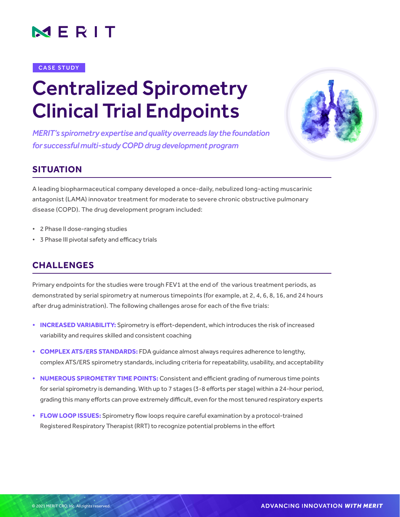

#### CASE STUDY

# Centralized Spirometry Clinical Trial Endpoints

*MERIT's spirometry expertise and quality overreads lay the foundation for successful multi-study COPD drug development program* 



# **SITUATION**

A leading biopharmaceutical company developed a once-daily, nebulized long-acting muscarinic antagonist (LAMA) innovator treatment for moderate to severe chronic obstructive pulmonary disease (COPD). The drug development program included:

- 2 Phase II dose-ranging studies
- • 3 Phase III pivotal safety and efficacy trials

## **CHALLENGES**

Primary endpoints for the studies were trough FEV1 at the end of the various treatment periods, as demonstrated by serial spirometry at numerous timepoints (for example, at 2, 4, 6, 8, 16, and 24 hours after drug administration). The following challenges arose for each of the five trials:

- **• INCREASED VARIABILITY:** Spirometry is effort-dependent, which introduces the risk of increased variability and requires skilled and consistent coaching
- **• COMPLEX ATS/ERS STANDARDS:** FDA guidance almost always requires adherence to lengthy, complex ATS/ERS spirometry standards, including criteria for repeatability, usability, and acceptability
- **• NUMEROUS SPIROMETRY TIME POINTS:** Consistent and efficient grading of numerous time points for serial spirometry is demanding. With up to 7 stages (3-8 efforts per stage) within a 24-hour period, grading this many efforts can prove extremely difficult, even for the most tenured respiratory experts
- **• FLOW LOOP ISSUES:** Spirometry flow loops require careful examination by a protocol-trained Registered Respiratory Therapist (RRT) to recognize potential problems in the effort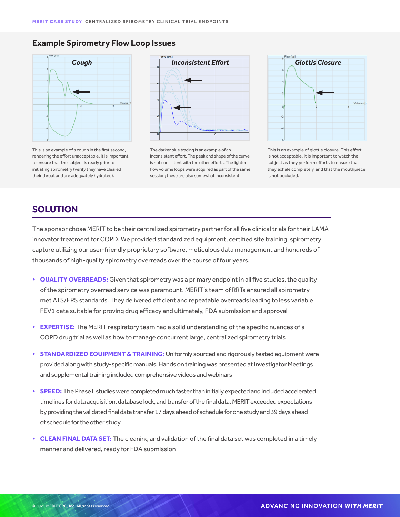#### **Example Spirometry Flow Loop Issues**



This is an example of a cough in the first second, rendering the effort unacceptable. It is important to ensure that the subject is ready prior to initiating spirometry (verify they have cleared their throat and are adequately hydrated).



The darker blue tracing is an example of an inconsistent effort. The peak and shape of the curve is not consistent with the other efforts. The lighter flow volume loops were acquired as part of the same session; these are also somewhat inconsistent.



This is an example of glottis closure. This effort is not acceptable. It is important to watch the subject as they perform efforts to ensure that they exhale completely, and that the mouthpiece is not occluded.

### **SOLUTION**

The sponsor chose MERIT to be their centralized spirometry partner for all five clinical trials for their LAMA innovator treatment for COPD. We provided standardized equipment, certified site training, spirometry capture utilizing our user-friendly proprietary software, meticulous data management and hundreds of thousands of high-quality spirometry overreads over the course of four years.

- **QUALITY OVERREADS:** Given that spirometry was a primary endpoint in all five studies, the quality of the spirometry overread service was paramount. MERIT's team of RRTs ensured all spirometry met ATS/ERS standards. They delivered efficient and repeatable overreads leading to less variable FEV1 data suitable for proving drug efficacy and ultimately, FDA submission and approval
- **• EXPERTISE:** The MERIT respiratory team had a solid understanding ofthe specific nuances of a COPD drug trial as well as how to manage concurrent large, centralized spirometry trials
- **• STANDARDIZED EQUIPMENT & TRAINING:** Uniformly sourced and rigorously tested equipment were provided along with study-specific manuals. Hands on training was presented at Investigator Meetings and supplemental training included comprehensive videos and webinars
- **• SPEED:** The Phase II studies were completed much faster than initially expected and included accelerated timelines for data acquisition, database lock, and transfer of the final data. MERIT exceeded expectations by providing the validated final data transfer 17 days ahead of schedule for one study and 39 days ahead of schedule for the other study
- **• CLEAN FINAL DATA SET:** The cleaning and validation ofthe final data set was completed in a timely manner and delivered, ready for FDA submission